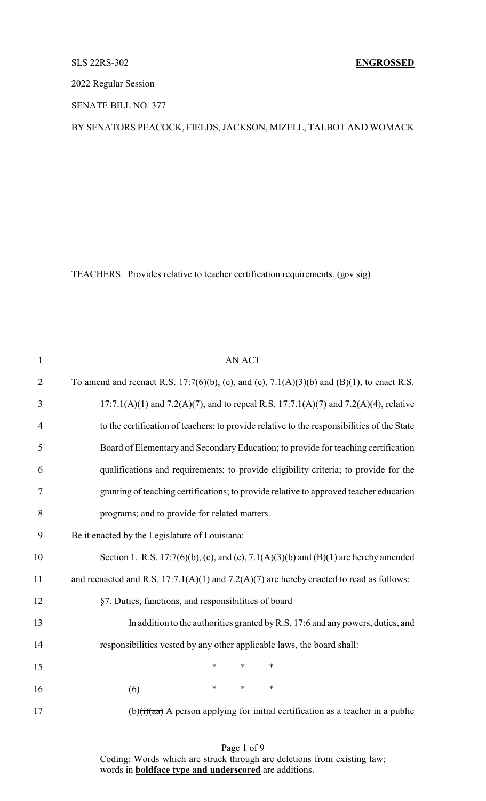2022 Regular Session

SENATE BILL NO. 377

BY SENATORS PEACOCK, FIELDS, JACKSON, MIZELL, TALBOT AND WOMACK

TEACHERS. Provides relative to teacher certification requirements. (gov sig)

| $\mathbf{1}$   | AN ACT                                                                                        |
|----------------|-----------------------------------------------------------------------------------------------|
| $\overline{2}$ | To amend and reenact R.S. 17:7(6)(b), (c), and (e), 7.1(A)(3)(b) and (B)(1), to enact R.S.    |
| 3              | $17:7.1(A)(1)$ and $7.2(A)(7)$ , and to repeal R.S. $17:7.1(A)(7)$ and $7.2(A)(4)$ , relative |
| $\overline{4}$ | to the certification of teachers; to provide relative to the responsibilities of the State    |
| 5              | Board of Elementary and Secondary Education; to provide for teaching certification            |
| 6              | qualifications and requirements; to provide eligibility criteria; to provide for the          |
| 7              | granting of teaching certifications; to provide relative to approved teacher education        |
| 8              | programs; and to provide for related matters.                                                 |
| 9              | Be it enacted by the Legislature of Louisiana:                                                |
| 10             | Section 1. R.S. 17:7(6)(b), (c), and (e), 7.1(A)(3)(b) and (B)(1) are hereby amended          |
| 11             | and reenacted and R.S. $17:7.1(A)(1)$ and $7.2(A)(7)$ are hereby enacted to read as follows:  |
| 12             | §7. Duties, functions, and responsibilities of board                                          |
| 13             | In addition to the authorities granted by R.S. 17:6 and any powers, duties, and               |
| 14             | responsibilities vested by any other applicable laws, the board shall:                        |
| 15             | $\ast$<br>$\ast$<br>$\ast$                                                                    |
| 16             | *<br>$\ast$<br>$\ast$<br>(6)                                                                  |
| 17             | $(b)(i)(aa)$ A person applying for initial certification as a teacher in a public             |

Page 1 of 9 Coding: Words which are struck through are deletions from existing law; words in **boldface type and underscored** are additions.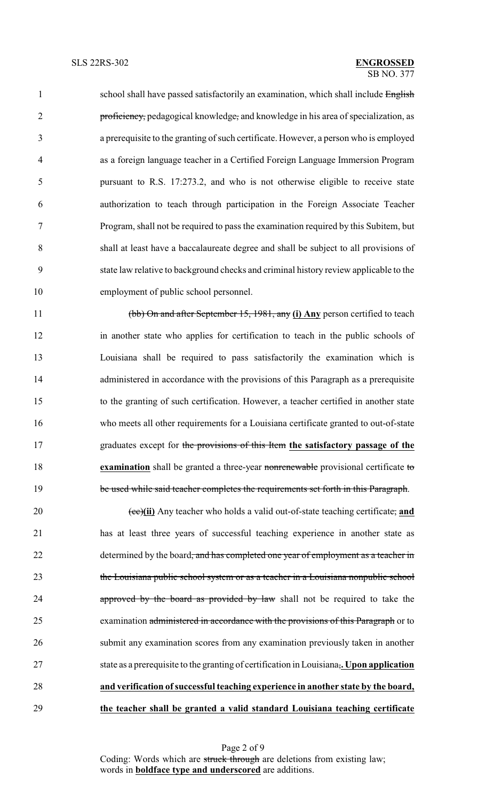1 school shall have passed satisfactorily an examination, which shall include English 2 proficiency, pedagogical knowledge, and knowledge in his area of specialization, as a prerequisite to the granting of such certificate. However, a person who is employed as a foreign language teacher in a Certified Foreign Language Immersion Program pursuant to R.S. 17:273.2, and who is not otherwise eligible to receive state authorization to teach through participation in the Foreign Associate Teacher Program, shall not be required to pass the examination required by this Subitem, but shall at least have a baccalaureate degree and shall be subject to all provisions of state law relative to background checks and criminal history review applicable to the employment of public school personnel.

 (bb) On and after September 15, 1981, any **(i) Any** person certified to teach in another state who applies for certification to teach in the public schools of Louisiana shall be required to pass satisfactorily the examination which is 14 administered in accordance with the provisions of this Paragraph as a prerequisite to the granting of such certification. However, a teacher certified in another state who meets all other requirements for a Louisiana certificate granted to out-of-state graduates except for the provisions of this Item **the satisfactory passage of the examination** shall be granted a three-year nonrenewable provisional certificate to 19 be used while said teacher completes the requirements set forth in this Paragraph.

20 (ee)(ii) Any teacher who holds a valid out-of-state teaching certificate, and has at least three years of successful teaching experience in another state as 22 determined by the board, and has completed one year of employment as a teacher in the Louisiana public school system or as a teacher in a Louisiana nonpublic school **approved by the board as provided by law** shall not be required to take the 25 examination administered in accordance with the provisions of this Paragraph or to submit any examination scores from any examination previously taken in another state as a prerequisite to the granting of certification in Louisiana,**. Upon application and verification ofsuccessful teaching experience in another state by the board, the teacher shall be granted a valid standard Louisiana teaching certificate**

> Page 2 of 9 Coding: Words which are struck through are deletions from existing law; words in **boldface type and underscored** are additions.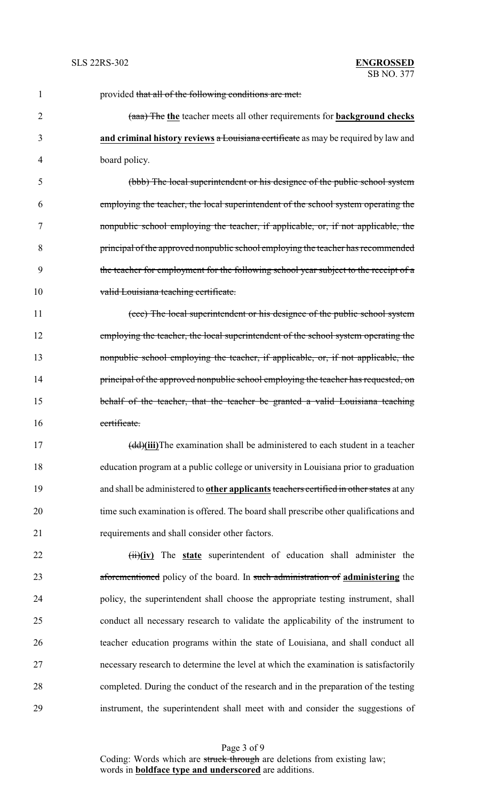| $\mathbf{1}$   | provided that all of the following conditions are met:                                         |
|----------------|------------------------------------------------------------------------------------------------|
| $\overline{2}$ | (aaa) The the teacher meets all other requirements for background checks                       |
| 3              | and criminal history reviews a Louisiana certificate as may be required by law and             |
| 4              | board policy.                                                                                  |
| 5              | (bbb) The local superintendent or his designee of the public school system                     |
| 6              | employing the teacher, the local superintendent of the school system operating the             |
| 7              | nonpublic school employing the teacher, if applicable, or, if not applicable, the              |
| 8              | principal of the approved nonpublic school employing the teacher has recommended               |
| 9              | the teacher for employment for the following school year subject to the receipt of a           |
| 10             | valid Louisiana teaching certificate.                                                          |
| 11             | (ccc) The local superintendent or his designee of the public school system                     |
| 12             | employing the teacher, the local superintendent of the school system operating the             |
| 13             | nonpublic school employing the teacher, if applicable, or, if not applicable, the              |
| 14             | principal of the approved nonpublic school employing the teacher has requested, on             |
| 15             | behalf of the teacher, that the teacher be granted a valid Louisiana teaching                  |
| 16             | certificate.                                                                                   |
| 17             | (dd)(iii)The examination shall be administered to each student in a teacher                    |
| 18             | education program at a public college or university in Louisiana prior to graduation           |
| 19             | and shall be administered to <b>other applicants</b> teachers certified in other states at any |
| 20             | time such examination is offered. The board shall prescribe other qualifications and           |
| 21             | requirements and shall consider other factors.                                                 |
| 22             | (ii)(iv) The state superintendent of education shall administer the                            |
| 23             | aforementioned policy of the board. In such administration of administering the                |
| 24             | policy, the superintendent shall choose the appropriate testing instrument, shall              |
| 25             | conduct all necessary research to validate the applicability of the instrument to              |
| 26             | teacher education programs within the state of Louisiana, and shall conduct all                |
| 27             | necessary research to determine the level at which the examination is satisfactorily           |
| 28             | completed. During the conduct of the research and in the preparation of the testing            |
| 29             | instrument, the superintendent shall meet with and consider the suggestions of                 |

Page 3 of 9 Coding: Words which are struck through are deletions from existing law; words in **boldface type and underscored** are additions.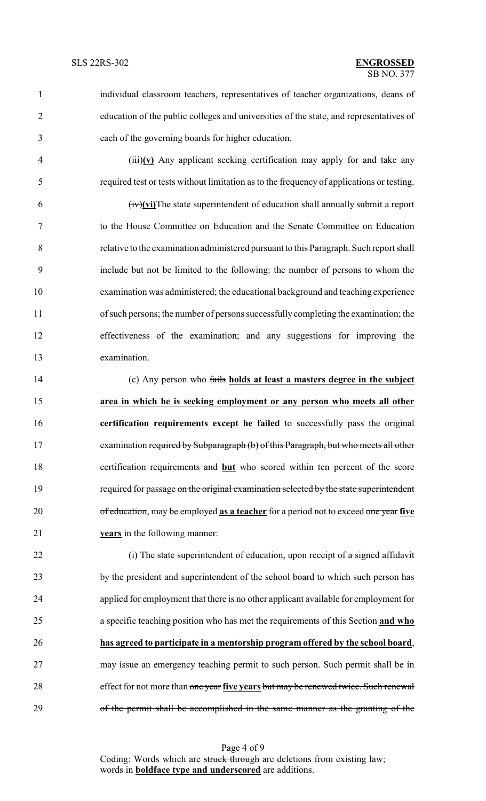- individual classroom teachers, representatives of teacher organizations, deans of education of the public colleges and universities of the state, and representatives of
- each of the governing boards for higher education.
	-

 (iii)**(v)** Any applicant seeking certification may apply for and take any required test or tests without limitation as to the frequency of applications or testing.

 (iv)**(vi)**The state superintendent of education shall annually submit a report to the House Committee on Education and the Senate Committee on Education relative to the examination administered pursuant to this Paragraph. Such report shall include but not be limited to the following: the number of persons to whom the examination was administered; the educational background and teaching experience of such persons; the number of persons successfullycompleting the examination; the effectiveness of the examination; and any suggestions for improving the examination.

 (c) Any person who fails **holds at least a masters degree in the subject area in which he is seeking employment or any person who meets all other certification requirements except he failed** to successfully pass the original examination required by Subparagraph (b) of this Paragraph, but who meets all other certification requirements and **but** who scored within ten percent of the score 19 required for passage on the original examination selected by the state superintendent of education, may be employed **as a teacher** for a period not to exceed one year **five years** in the following manner:

 (i) The state superintendent of education, upon receipt of a signed affidavit by the president and superintendent of the school board to which such person has applied for employment that there is no other applicant available for employment for a specific teaching position who has met the requirements of this Section **and who has agreed to participate in a mentorship program offered by the school board**, may issue an emergency teaching permit to such person. Such permit shall be in effect for not more than one year **five years** but may be renewed twice. Such renewal of the permit shall be accomplished in the same manner as the granting of the

Page 4 of 9 Coding: Words which are struck through are deletions from existing law; words in **boldface type and underscored** are additions.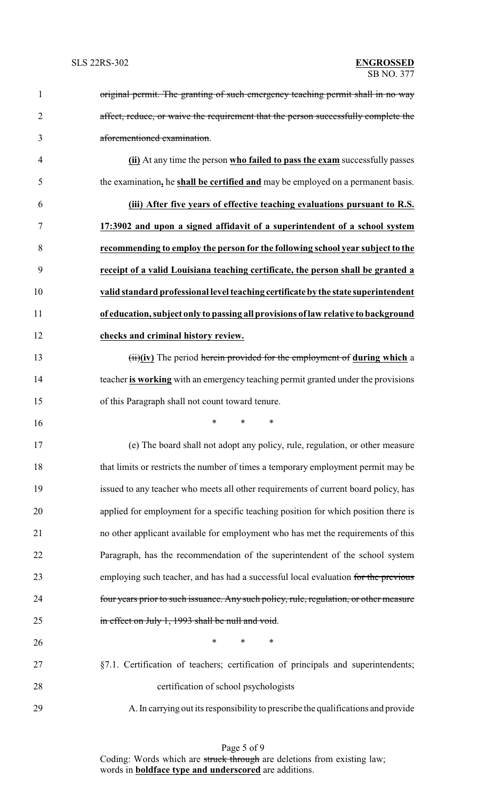| $\mathbf{1}$ | original permit. The granting of such emergency teaching permit shall in no way        |
|--------------|----------------------------------------------------------------------------------------|
| 2            | affect, reduce, or waive the requirement that the person successfully complete the     |
| 3            | aforementioned examination.                                                            |
| 4            | (ii) At any time the person who failed to pass the exam successfully passes            |
| 5            | the examination, he shall be certified and may be employed on a permanent basis.       |
| 6            | (iii) After five years of effective teaching evaluations pursuant to R.S.              |
| 7            | 17:3902 and upon a signed affidavit of a superintendent of a school system             |
| 8            | recommending to employ the person for the following school year subject to the         |
| 9            | receipt of a valid Louisiana teaching certificate, the person shall be granted a       |
| 10           | valid standard professional level teaching certificate by the state superintendent     |
| 11           | of education, subject only to passing all provisions of law relative to background     |
| 12           | checks and criminal history review.                                                    |
| 13           | (ii)(iv) The period herein provided for the employment of during which a               |
| 14           | teacher is working with an emergency teaching permit granted under the provisions      |
| 15           | of this Paragraph shall not count toward tenure.                                       |
| 16           | $\ast$<br>*<br>∗                                                                       |
| 17           | (e) The board shall not adopt any policy, rule, regulation, or other measure           |
| 18           | that limits or restricts the number of times a temporary employment permit may be      |
| 19           | issued to any teacher who meets all other requirements of current board policy, has    |
| 20           | applied for employment for a specific teaching position for which position there is    |
| 21           | no other applicant available for employment who has met the requirements of this       |
| 22           | Paragraph, has the recommendation of the superintendent of the school system           |
| 23           | employing such teacher, and has had a successful local evaluation for the previous     |
| 24           | four years prior to such issuance. Any such policy, rule, regulation, or other measure |
| 25           | in effect on July 1, 1993 shall be null and void.                                      |
| 26           | $\ast$<br>$\ast$<br>$\ast$                                                             |
| 27           | §7.1. Certification of teachers; certification of principals and superintendents;      |
| 28           | certification of school psychologists                                                  |
| 29           | A. In carrying out its responsibility to prescribe the qualifications and provide      |

Page 5 of 9 Coding: Words which are struck through are deletions from existing law; words in **boldface type and underscored** are additions.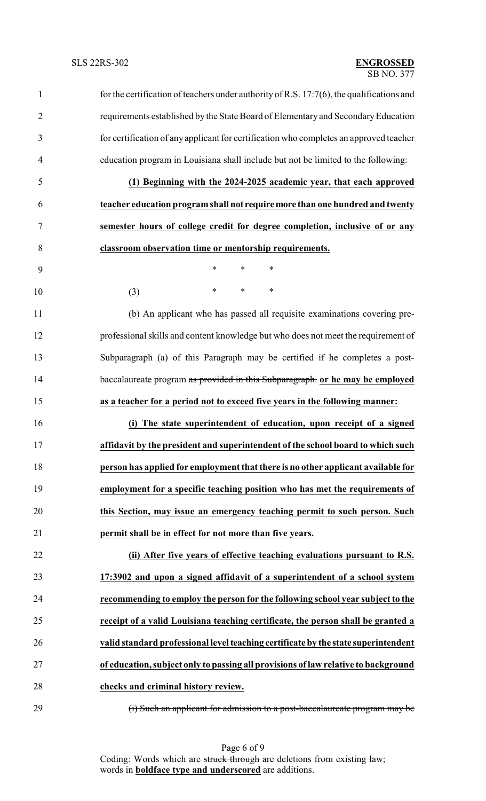| $\mathbf{1}$   | for the certification of teachers under authority of R.S. $17:7(6)$ , the qualifications and |
|----------------|----------------------------------------------------------------------------------------------|
| $\overline{2}$ | requirements established by the State Board of Elementary and Secondary Education            |
| 3              | for certification of any applicant for certification who completes an approved teacher       |
| $\overline{4}$ | education program in Louisiana shall include but not be limited to the following:            |
| 5              | (1) Beginning with the 2024-2025 academic year, that each approved                           |
| 6              | teacher education program shall not require more than one hundred and twenty                 |
| $\tau$         | semester hours of college credit for degree completion, inclusive of or any                  |
| 8              | classroom observation time or mentorship requirements.                                       |
| 9              | *<br>$\ast$<br>$\ast$                                                                        |
| 10             | $\ast$<br>$\ast$<br>$\ast$<br>(3)                                                            |
| 11             | (b) An applicant who has passed all requisite examinations covering pre-                     |
| 12             | professional skills and content knowledge but who does not meet the requirement of           |
| 13             | Subparagraph (a) of this Paragraph may be certified if he completes a post-                  |
| 14             | baccalaureate program as provided in this Subparagraph. or he may be employed                |
| 15             | as a teacher for a period not to exceed five years in the following manner:                  |
| 16             | (i) The state superintendent of education, upon receipt of a signed                          |
| 17             | affidavit by the president and superintendent of the school board to which such              |
| 18             | person has applied for employment that there is no other applicant available for             |
| 19             | employment for a specific teaching position who has met the requirements of                  |
| 20             | this Section, may issue an emergency teaching permit to such person. Such                    |
| 21             | permit shall be in effect for not more than five years.                                      |
| 22             | (ii) After five years of effective teaching evaluations pursuant to R.S.                     |
| 23             | 17:3902 and upon a signed affidavit of a superintendent of a school system                   |
| 24             | recommending to employ the person for the following school year subject to the               |
| 25             | receipt of a valid Louisiana teaching certificate, the person shall be granted a             |
| 26             | valid standard professional level teaching certificate by the state superintendent           |
| 27             | of education, subject only to passing all provisions of law relative to background           |
| 28             | checks and criminal history review.                                                          |
| 29             | (i) Such an applicant for admission to a post-baccalaureate program may be                   |

Page 6 of 9 Coding: Words which are struck through are deletions from existing law; words in **boldface type and underscored** are additions.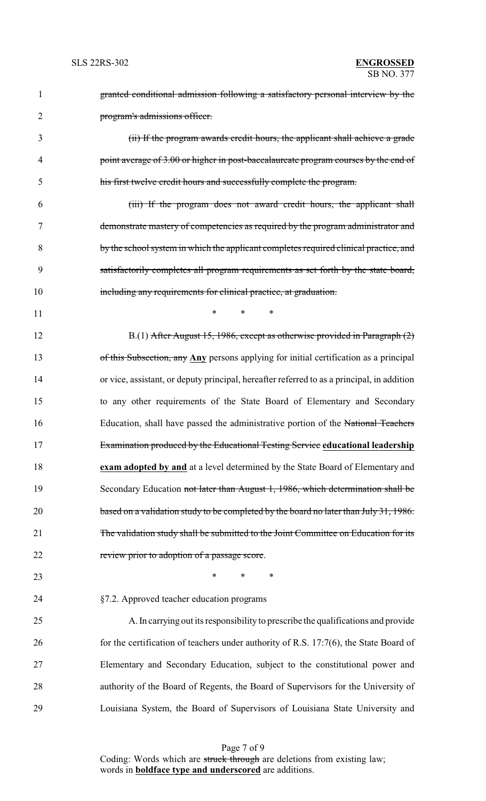| 1              | granted conditional admission following a satisfactory personal interview by the           |
|----------------|--------------------------------------------------------------------------------------------|
| $\overline{2}$ | program's admissions officer.                                                              |
| 3              | (ii) If the program awards credit hours, the applicant shall achieve a grade               |
| 4              | point average of 3.00 or higher in post-baccalaureate program courses by the end of        |
| 5              | his first twelve credit hours and successfully complete the program.                       |
| 6              | (iii) If the program does not award credit hours, the applicant shall                      |
| $\tau$         | demonstrate mastery of competencies as required by the program administrator and           |
| 8              | by the school system in which the applicant completes required clinical practice, and      |
| 9              | satisfactorily completes all program requirements as set forth by the state board,         |
| 10             | including any requirements for clinical practice, at graduation.                           |
| 11             | $\ast$<br>$\ast$<br>∗                                                                      |
| 12             | B.(1) After August 15, 1986, except as otherwise provided in Paragraph (2)                 |
| 13             | of this Subsection, any Any persons applying for initial certification as a principal      |
| 14             | or vice, assistant, or deputy principal, hereafter referred to as a principal, in addition |
| 15             | to any other requirements of the State Board of Elementary and Secondary                   |
| 16             | Education, shall have passed the administrative portion of the National Teachers           |
| 17             | Examination produced by the Educational Testing Service educational leadership             |
| 18             | exam adopted by and at a level determined by the State Board of Elementary and             |
| 19             | Secondary Education not later than August 1, 1986, which determination shall be            |
| 20             | based on a validation study to be completed by the board no later than July 31, 1986.      |
| 21             | The validation study shall be submitted to the Joint Committee on Education for its        |
| 22             | review prior to adoption of a passage score.                                               |
| 23             | $\ast$<br>∗<br>∗                                                                           |
| 24             | §7.2. Approved teacher education programs                                                  |
| 25             | A. In carrying out its responsibility to prescribe the qualifications and provide          |
| 26             | for the certification of teachers under authority of R.S. 17:7(6), the State Board of      |
| 27             | Elementary and Secondary Education, subject to the constitutional power and                |
| 28             | authority of the Board of Regents, the Board of Supervisors for the University of          |
| 29             | Louisiana System, the Board of Supervisors of Louisiana State University and               |
|                |                                                                                            |

Page 7 of 9 Coding: Words which are struck through are deletions from existing law; words in **boldface type and underscored** are additions.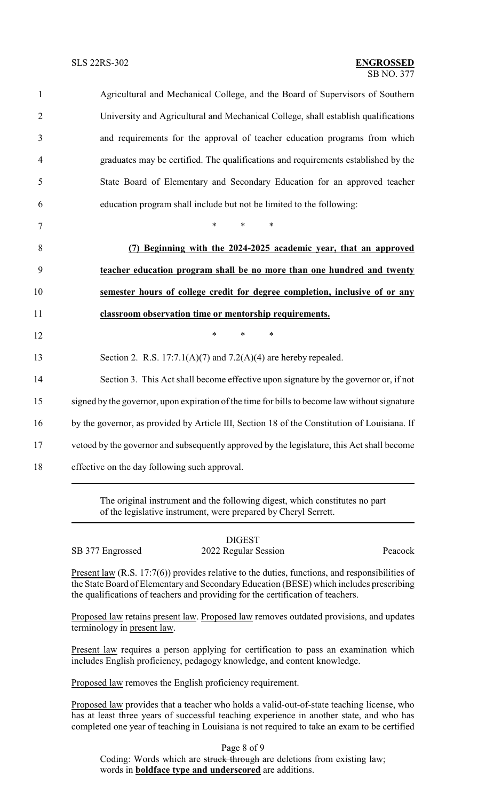| Agricultural and Mechanical College, and the Board of Supervisors of Southern                 |
|-----------------------------------------------------------------------------------------------|
| University and Agricultural and Mechanical College, shall establish qualifications            |
| and requirements for the approval of teacher education programs from which                    |
| graduates may be certified. The qualifications and requirements established by the            |
| State Board of Elementary and Secondary Education for an approved teacher                     |
| education program shall include but not be limited to the following:                          |
| *<br>$\ast$<br>∗                                                                              |
| (7) Beginning with the 2024-2025 academic year, that an approved                              |
| teacher education program shall be no more than one hundred and twenty                        |
| semester hours of college credit for degree completion, inclusive of or any                   |
| classroom observation time or mentorship requirements.                                        |
| $\ast$<br>$\ast$<br>$\ast$                                                                    |
| Section 2. R.S. $17:7.1(A)(7)$ and $7.2(A)(4)$ are hereby repealed.                           |
| Section 3. This Act shall become effective upon signature by the governor or, if not          |
| signed by the governor, upon expiration of the time for bills to become law without signature |
| by the governor, as provided by Article III, Section 18 of the Constitution of Louisiana. If  |
| vetoed by the governor and subsequently approved by the legislature, this Act shall become    |
|                                                                                               |

of the legislative instrument, were prepared by Cheryl Serrett.

SB 377 Engrossed 2022 Regular Session Peacock

**DIGEST** 

Present law (R.S. 17:7(6)) provides relative to the duties, functions, and responsibilities of the State Board of Elementary and SecondaryEducation (BESE) which includes prescribing the qualifications of teachers and providing for the certification of teachers.

Proposed law retains present law. Proposed law removes outdated provisions, and updates terminology in present law.

Present law requires a person applying for certification to pass an examination which includes English proficiency, pedagogy knowledge, and content knowledge.

Proposed law removes the English proficiency requirement.

Proposed law provides that a teacher who holds a valid-out-of-state teaching license, who has at least three years of successful teaching experience in another state, and who has completed one year of teaching in Louisiana is not required to take an exam to be certified

Page 8 of 9 Coding: Words which are struck through are deletions from existing law; words in **boldface type and underscored** are additions.